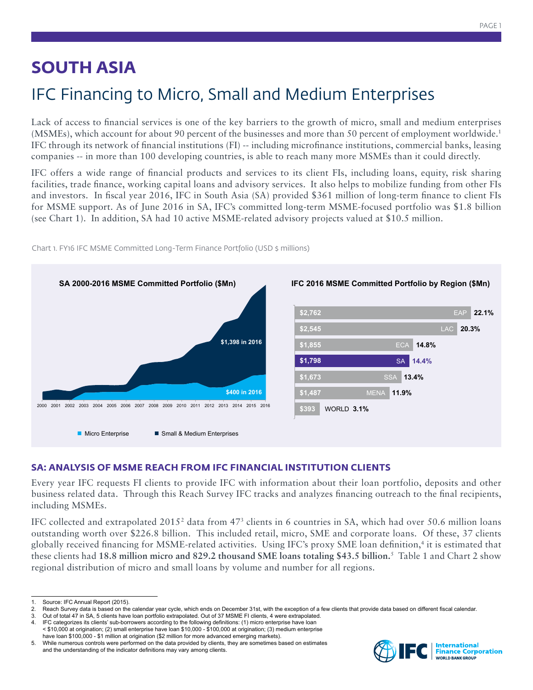## **SOUTH ASIA**

# IFC Financing to Micro, Small and Medium Enterprises

Lack of access to financial services is one of the key barriers to the growth of micro, small and medium enterprises (MSMEs), which account for about 90 percent of the businesses and more than 50 percent of employment worldwide.1 IFC through its network of financial institutions (FI) -- including microfinance institutions, commercial banks, leasing companies -- in more than 100 developing countries, is able to reach many more MSMEs than it could directly.

IFC offers a wide range of financial products and services to its client FIs, including loans, equity, risk sharing facilities, trade finance, working capital loans and advisory services. It also helps to mobilize funding from other FIs and investors. In fiscal year 2016, IFC in South Asia (SA) provided \$361 million of long-term finance to client FIs for MSME support. As of June 2016 in SA, IFC's committed long-term MSME-focused portfolio was \$1.8 billion (see Chart 1). In addition, SA had 10 active MSME-related advisory projects valued at \$10.5 million.



Chart 1. FY16 IFC MSME Committed Long-Term Finance Portfolio (USD \$ millions)

## **SA: ANALYSIS OF MSME REACH FROM IFC FINANCIAL INSTITUTION CLIENTS**

Every year IFC requests FI clients to provide IFC with information about their loan portfolio, deposits and other business related data. Through this Reach Survey IFC tracks and analyzes financing outreach to the final recipients, including MSMEs.

IFC collected and extrapolated  $2015^2$  data from 47<sup>3</sup> clients in 6 countries in SA, which had over 50.6 million loans outstanding worth over \$226.8 billion. This included retail, micro, SME and corporate loans. Of these, 37 clients globally received financing for MSME-related activities. Using IFC's proxy SME loan definition,4 it is estimated that these clients had **18.8 million micro and 829.2 thousand SME loans totaling \$43.5 billion.**<sup>5</sup> Table 1 and Chart 2 show regional distribution of micro and small loans by volume and number for all regions.



Source: IFC Annual Report (2015).

<sup>2.</sup> Reach Survey data is based on the calendar year cycle, which ends on December 31st, with the exception of a few clients that provide data based on different fiscal calendar.<br>3. Out of total 47 in SA, 5 clients have loan

<sup>3.</sup> Out of total 47 in SA, 5 clients have loan portfolio extrapolated. Out of 37 MSME FI clients, 4 were extrapolated. 4. IFC categorizes its clients' sub-borrowers according to the following definitions: (1) micro enterprise have loan

<sup>&</sup>lt; \$10,000 at origination; (2) small enterprise have loan \$10,000 - \$100,000 at origination; (3) medium enterprise have loan \$100,000 - \$1 million at origination (\$2 million for more advanced emerging markets).

<sup>5.</sup> While numerous controls were performed on the data provided by clients, they are sometimes based on estimates and the understanding of the indicator definitions may vary among clients.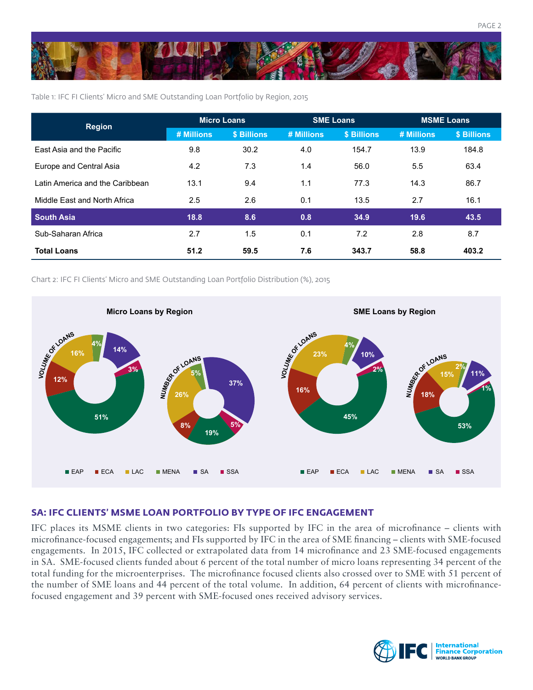

Table 1: IFC FI Clients' Micro and SME Outstanding Loan Portfolio by Region, 2015

| <b>Region</b>                   | <b>Micro Loans</b> |             | <b>SME Loans</b> |             | <b>MSME Loans</b> |             |
|---------------------------------|--------------------|-------------|------------------|-------------|-------------------|-------------|
|                                 | # Millions         | \$ Billions | # Millions       | \$ Billions | # Millions        | \$ Billions |
| East Asia and the Pacific       | 9.8                | 30.2        | 4.0              | 154.7       | 13.9              | 184.8       |
| Europe and Central Asia         | 4.2                | 7.3         | 1.4              | 56.0        | 5.5               | 63.4        |
| Latin America and the Caribbean | 13.1               | 9.4         | 1.1              | 77.3        | 14.3              | 86.7        |
| Middle East and North Africa    | 2.5                | 2.6         | 0.1              | 13.5        | 2.7               | 16.1        |
| <b>South Asia</b>               | 18.8               | 8.6         | 0.8              | 34.9        | 19.6              | 43.5        |
| Sub-Saharan Africa              | 2.7                | 1.5         | 0.1              | 7.2         | 2.8               | 8.7         |
| <b>Total Loans</b>              | 51.2               | 59.5        | 7.6              | 343.7       | 58.8              | 403.2       |

Chart 2: IFC FI Clients' Micro and SME Outstanding Loan Portfolio Distribution (%), 2015



## **SA: IFC CLIENTS' MSME LOAN PORTFOLIO BY TYPE OF IFC ENGAGEMENT**

IFC places its MSME clients in two categories: FIs supported by IFC in the area of microfinance – clients with microfinance-focused engagements; and FIs supported by IFC in the area of SME financing – clients with SME-focused engagements. In 2015, IFC collected or extrapolated data from 14 microfinance and 23 SME-focused engagements in SA. SME-focused clients funded about 6 percent of the total number of micro loans representing 34 percent of the total funding for the microenterprises. The microfinance focused clients also crossed over to SME with 51 percent of the number of SME loans and 44 percent of the total volume. In addition, 64 percent of clients with microfinancefocused engagement and 39 percent with SME-focused ones received advisory services.

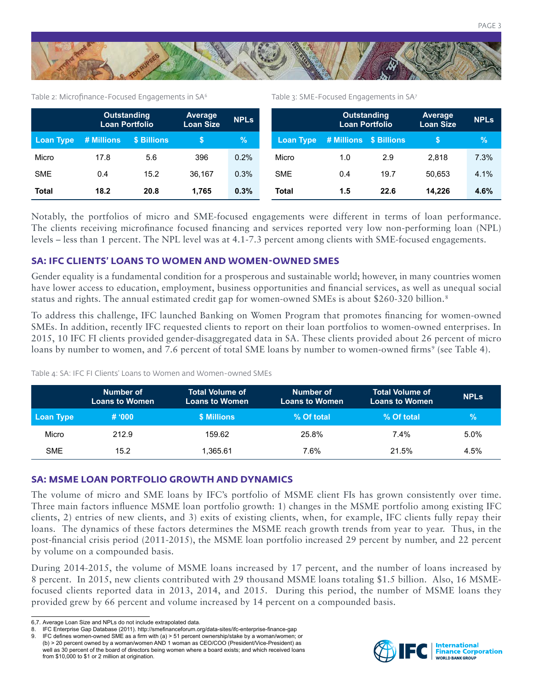

#### Table 2: Microfinance-Focused Engagements in SA<sup>6</sup>

Table 3: SME-Focused Engagements in SA7

|              | <b>Outstanding</b><br><b>Loan Portfolio</b> |             | Average<br><b>Loan Size</b> | <b>NPLS</b> |                  | <b>Outstanding</b><br><b>Loan Portfolio</b> |      | Average<br><b>Loan Size</b> | <b>NPLs</b> |
|--------------|---------------------------------------------|-------------|-----------------------------|-------------|------------------|---------------------------------------------|------|-----------------------------|-------------|
| Loan Type    | # Millions                                  | \$ Billions |                             | ∣%'         | <b>Loan Type</b> | # Millions \$ Billions                      |      | \$                          | $\%$        |
| Micro        | 17.8                                        | 5.6         | 396                         | 0.2%        | Micro            | 1.0                                         | 2.9  | 2.818                       | 7.3%        |
| <b>SME</b>   | 0.4                                         | 15.2        | 36.167                      | 0.3%        | <b>SME</b>       | 0.4                                         | 19.7 | 50.653                      | 4.1%        |
| <b>Total</b> | 18.2                                        | 20.8        | 1.765                       | 0.3%        | Total            | 1.5                                         | 22.6 | 14.226                      | 4.6%        |

Notably, the portfolios of micro and SME-focused engagements were different in terms of loan performance. The clients receiving microfinance focused financing and services reported very low non-performing loan (NPL) levels – less than 1 percent. The NPL level was at 4.1-7.3 percent among clients with SME-focused engagements.

## **SA: IFC CLIENTS' LOANS TO WOMEN AND WOMEN-OWNED SMES**

Gender equality is a fundamental condition for a prosperous and sustainable world; however, in many countries women have lower access to education, employment, business opportunities and financial services, as well as unequal social status and rights. The annual estimated credit gap for women-owned SMEs is about \$260-320 billion.<sup>8</sup>

To address this challenge, IFC launched Banking on Women Program that promotes financing for women-owned SMEs. In addition, recently IFC requested clients to report on their loan portfolios to women-owned enterprises. In 2015, 10 IFC FI clients provided gender-disaggregated data in SA. These clients provided about 26 percent of micro loans by number to women, and 7.6 percent of total SME loans by number to women-owned firms<sup>9</sup> (see Table 4).

Table 4: SA: IFC FI Clients' Loans to Women and Women-owned SMEs

|            | Number of<br><b>Loans to Women</b> | <b>Total Volume of</b><br><b>Loans to Women</b> | Number of<br><b>Loans to Women</b> | <b>Total Volume of</b><br><b>Loans to Women</b> | <b>NPLS</b> |
|------------|------------------------------------|-------------------------------------------------|------------------------------------|-------------------------------------------------|-------------|
| Loan Type  | # 000                              | \$ Millions                                     | % Of total                         | % Of total                                      | $\%$        |
| Micro      | 212.9                              | 159.62                                          | 25.8%                              | 7.4%                                            | 5.0%        |
| <b>SME</b> | 15.2                               | 365.61. ا                                       | 7.6%                               | 21.5%                                           | $4.5\%$     |

## **SA: MSME LOAN PORTFOLIO GROWTH AND DYNAMICS**

The volume of micro and SME loans by IFC's portfolio of MSME client FIs has grown consistently over time. Three main factors influence MSME loan portfolio growth: 1) changes in the MSME portfolio among existing IFC clients, 2) entries of new clients, and 3) exits of existing clients, when, for example, IFC clients fully repay their loans. The dynamics of these factors determines the MSME reach growth trends from year to year. Thus, in the post-financial crisis period (2011-2015), the MSME loan portfolio increased 29 percent by number, and 22 percent by volume on a compounded basis.

During 2014-2015, the volume of MSME loans increased by 17 percent, and the number of loans increased by 8 percent. In 2015, new clients contributed with 29 thousand MSME loans totaling \$1.5 billion. Also, 16 MSMEfocused clients reported data in 2013, 2014, and 2015. During this period, the number of MSME loans they provided grew by 66 percent and volume increased by 14 percent on a compounded basis.



<sup>6,7.</sup> Average Loan Size and NPLs do not include extrapolated data.

<sup>8.</sup> IFC Enterprise Gap Database (2011). http://smefinanceforum.org/data-sites/ifc-enterprise-finance-gap

<sup>9.</sup> IFC defines women-owned SME as a firm with (a) > 51 percent ownership/stake by a woman/women; or (b) > 20 percent owned by a woman/women AND 1 woman as CEO/COO (President/Vice-President) as well as 30 percent of the board of directors being women where a board exists; and which received loans from \$10,000 to \$1 or 2 million at origination.